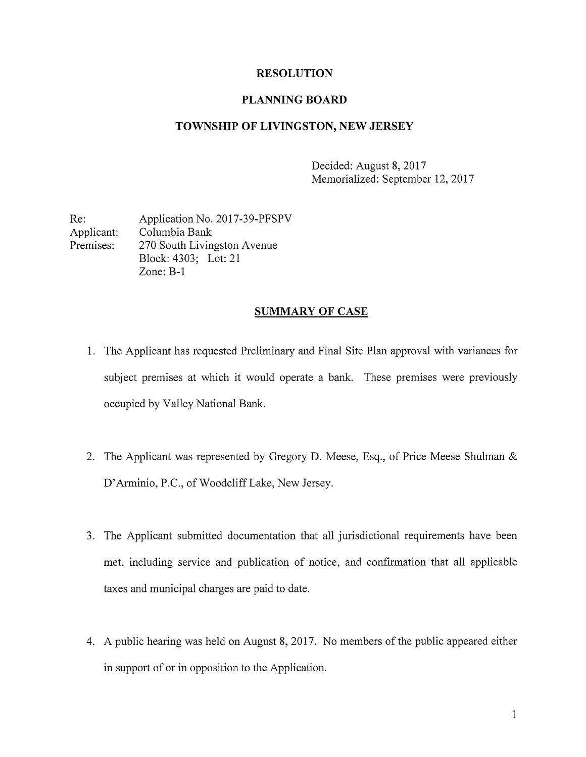### RESOLUTION

#### PLANNING BOARD

### TOWNSHIP OF LIVINGSTON, NEW JERSEY

Decided: August 8, 2017 Memorialized: September 12, 2017

Re: Application No. 2017-39-PFSPV Applicant: Columbia Bank Premises: 270 South Livingston Avenue Block: 4303; Lot: 21 Zone: B-i

#### SUMMARY OF CASE

- 1. The Applicant has requested Preliminary and Final Site Plan approval with variances for subject premises at which it would operate a bank. These premises were previously occupied by Valley National Bank.
- 2. The Applicant was represented by Gregory D. Meese, Esq., of Price Meese Shulman & D'Arminio, P.C., of Woodcliff Lake, New Jersey.
- 3. The Applicant submitted documentation that all jurisdictional requirements have been met, including service and publication of notice, and confirmation that all applicable taxes and municipal charges are paid to date.
- 4. A public hearing was held on August 8, 2017. No members of the public appeared either in support of or in opposition to the Application.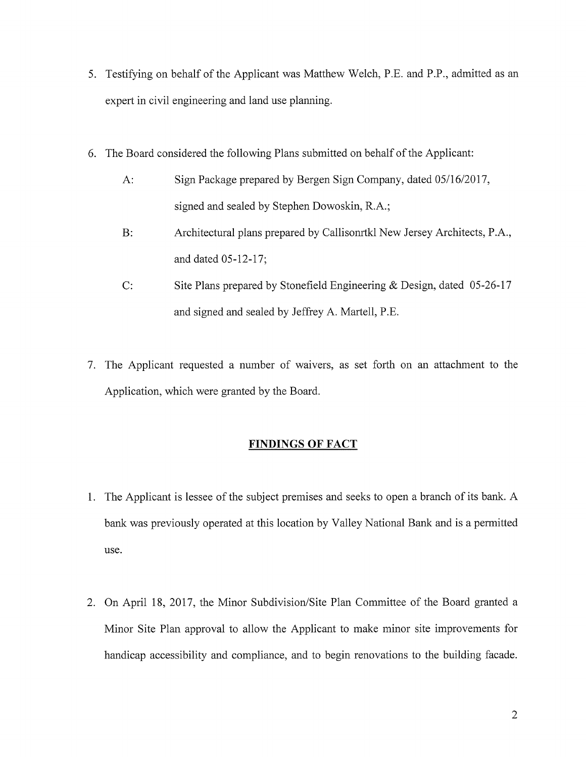- 5. Testifying on behalf of the Applicant was Matthew Welch, P.E. and P.P., admitted as an expert in civil engineering and land use planning.
- 6. The Board considered the following Plans submitted on behalf of the Applicant:
	- A: Sign Package prepared by Bergen Sign Company, dated 05/16/2017, signed and sealed by Stephen Dowoskin, R.A.;
	- B: Architectural plans prepared by Callisonrtkl New Jersey Architects, P.A., and dated 05-12-17;
	- C: Site Plans prepared by Stonefield Engineering & Design, dated 05-26-17 and signed and sealed by Jeffrey A. Martell, P.E.
- 7. The Applicant requested <sup>a</sup> number of waivers, as set forth on an attachment to the Application, which were granted by the Board.

# FINDINGS OF FACT

- 1. The Applicant is lessee of the subject premises and seeks to open a branch of its bank. A bank was previously operated at this location by Valley National Bank and is a permitted use.
- 2. On April 18, 2017, the Minor Subdivision/Site Plan Committee of the Board granted a Minor Site Plan approval to allow the Applicant to make minor site improvements for handicap accessibility and compliance, and to begin renovations to the building facade.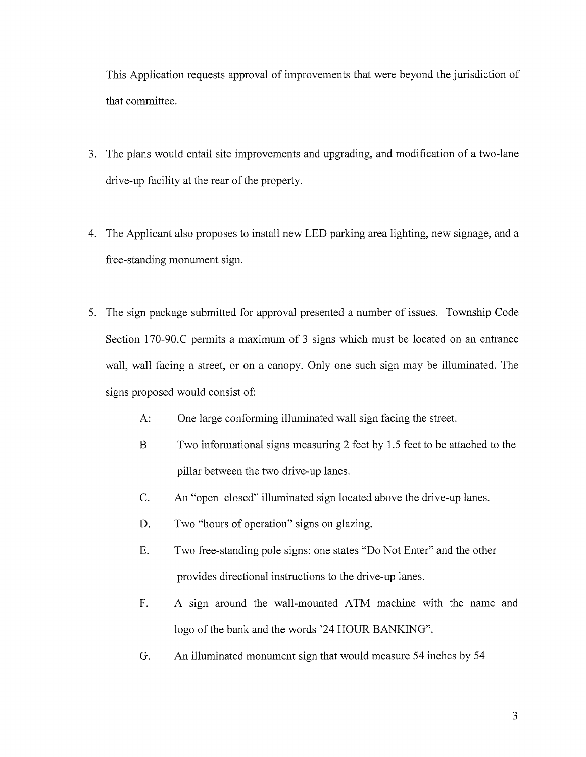This Application requests approval of improvements that were beyond the jurisdiction of that committee.

- 3. The plans would entail site improvements and upgrading, and modification of <sup>a</sup> two-lane drive-up facility at the rear of the property.
- 4. The Applicant also proposes to install new LED parking area lighting, new signage, and a free-standing monument sign.
- 5. The sign package submitted for approval presented a number of issues. Township Code Section 170-90.C permits a maximum of <sup>3</sup> signs which must be located on an entrance wall, wall facing a street, or on a canopy. Only one such sign may be illuminated. The signs proposed would consist of:
	- A: One large conforming illuminated wall sign facing the street.
	- B Two informational signs measuring 2 feet by 1.5 feet to be attached to the pillar between the two drive-up lanes.
	- C. An "open closed" illuminated sign located above the drive-up lanes.
	- D. Two "hours of operation" signs on glazing.
	- E. Two free-standing pole signs: one states "Do Not Enter" and the other provides directional instructions to the drive-up lanes.
	- F. A sign around the wall-mounted ATM machine with the name and logo of the bank and the words '24 HOUR BANKING".
	- G. An illuminated monument sign that would measure 54 inches by 54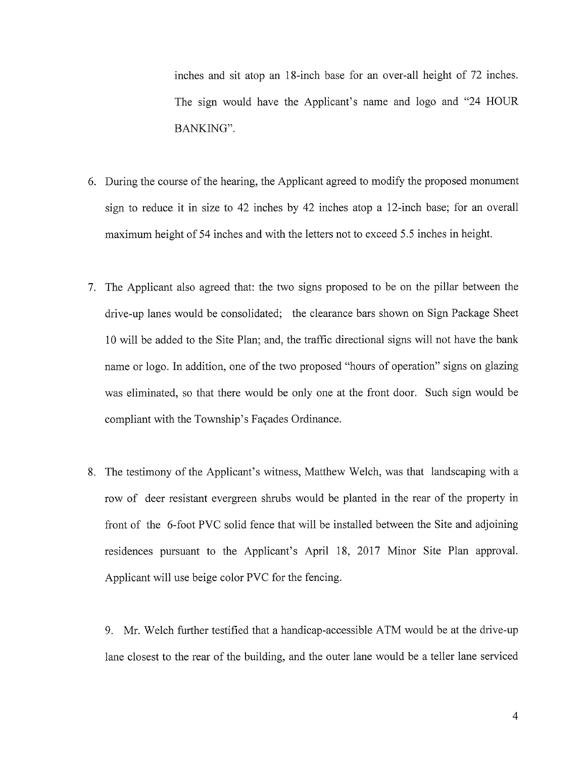inches and sit atop an 18-inch base for an over-all height of 72 inches. The sign would have the Applicant's name and logo and "24 HOUR BANKING".

- 6. During the course of the hearing, the Applicant agreed to modify the proposed monument sign to reduce it in size to 42 inches by 42 inches atop a 12-inch base; for an overall maximum height of 54 inches and with the letters not to exceed 5.5 inches in height.
- 7. The Applicant also agreed that: the two signs proposed to be on the pillar between the drive-up lanes would be consolidated; the clearance bars shown on Sign Package Sheet <sup>10</sup> will be added to the Site Plan; and, the traffic directional signs will not have the bank name or logo. In addition, one of the two proposed "hours of operation" signs on glazing was eliminated, so that there would be only one at the front door. Such sign would be compliant with the Township's Façades Ordinance.
- 8. The testimony of the Applicant's witness, Matthew Welch, was that landscaping with a row of deer resistant evergreen shrubs would be planted in the rear of the property in front of the 6-foot PVC solid fence that will be installed between the Site and adjoining residences pursuant to the Applicant's April 18, 2017 Minor Site Plan approval. Applicant will use beige color PVC for the fencing.

9. Mr. Welch further testified that a handicap-accessible ATM would be at the drive-up lane closest to the rear of the building, and the outer lane would be <sup>a</sup> teller lane serviced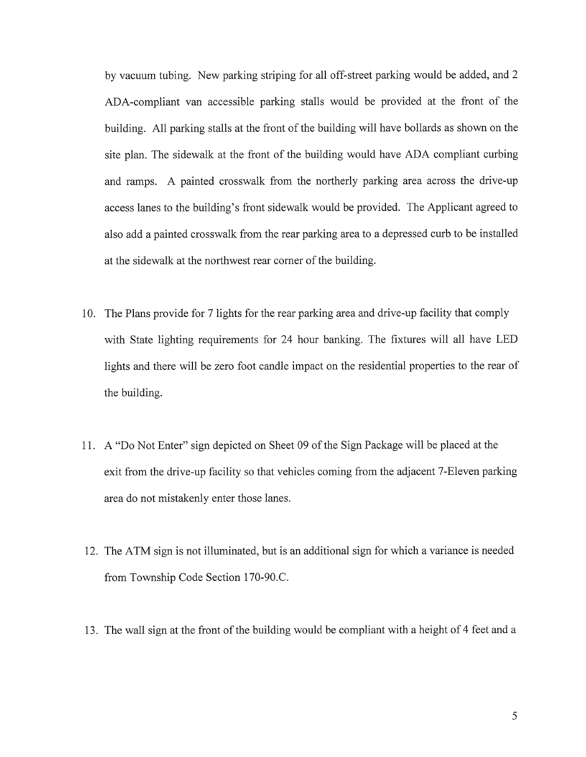by vacuum tubing. New parking striping for all off-street parking would be added, and 2 ADA-compliant van accessible parking stalls would be provided at the front of the building. All parking stalls at the front of the building will have bollards as shown on the site plan. The sidewalk at the front of the building would have ADA compliant curbing and ramps. A painted crosswalk from the northerly parking area across the drive-up access lanes to the building's front sidewalk would be provided. The Applicant agreed to also add a painted crosswalk from the rear parking area to a depressed curb to be installed at the sidewalk at the northwest rear corner of the building.

- 10. The Plans provide for 7 lights for the rear parking area and drive-up facility that comply with State lighting requirements for 24 hour banking. The fixtures will all have LED lights and there will be zero foot candle impact on the residential properties to the rear of the building.
- 11. A "Do Not Enter" sign depicted on Sheet 09 of the Sign Package will be placed at the exit from the drive-up facility so that vehicles coming from the adjacent 7-Eleven parking area do not mistakenly enter those lanes.
- 12. The ATM sign is not illuminated, but is an additional sign for which a variance is needed from Township Code Section 170-90.C.
- 13. The wall sign at the front of the building would be compliant with a height of 4 feet and <sup>a</sup>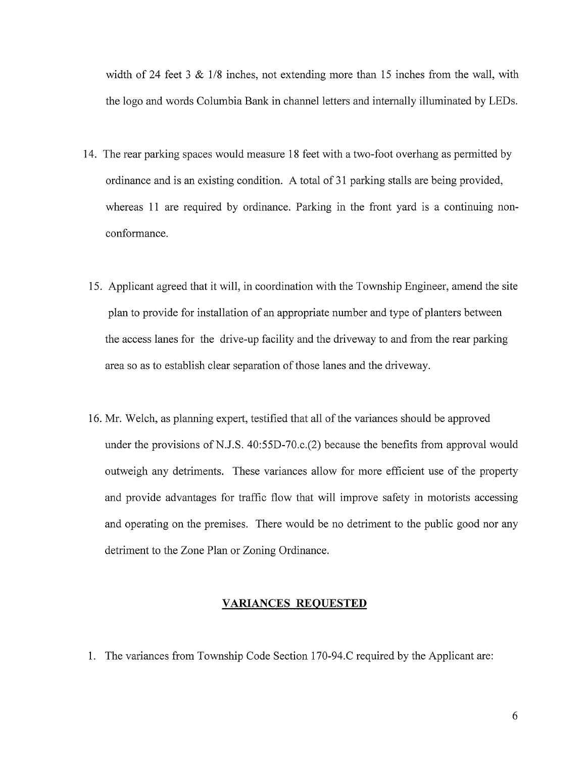width of 24 feet 3  $\&$  1/8 inches, not extending more than 15 inches from the wall, with the logo and words Columbia Bank in channel letters and internally illuminated by LEDs.

- 14. The rear parking spaces would measure 18 feet with a two-foot overhang as permitted by ordinance and is an existing condition. A total of <sup>31</sup> parking stalls are being provided, whereas 11 are required by ordinance. Parking in the front yard is a continuing nonconformance.
- 15. Applicant agreed that it will, in coordination with the Township Engineer, amend the site plan to provide for installation of an appropriate number and type of planters between the access lanes for the drive-up facility and the driveway to and from the rear parking area so as to establish clear separation of those lanes and the driveway.
- 16. Mr. Welch, as planning expert, testified that all of the variances should be approved under the provisions of N.J.S. 40:55D-70.c.(2) because the benefits from approval would outweigh any detriments. These variances allow for more efficient use of the property and provide advantages for traffic flow that will improve safety in motorists accessing and operating on the premises. There would be no detriment to the public good nor any detriment to the Zone Plan or Zoning Ordinance.

### VARIANCES REQUESTED

1. The variances from Township Code Section 170-94.C required by the Applicant are: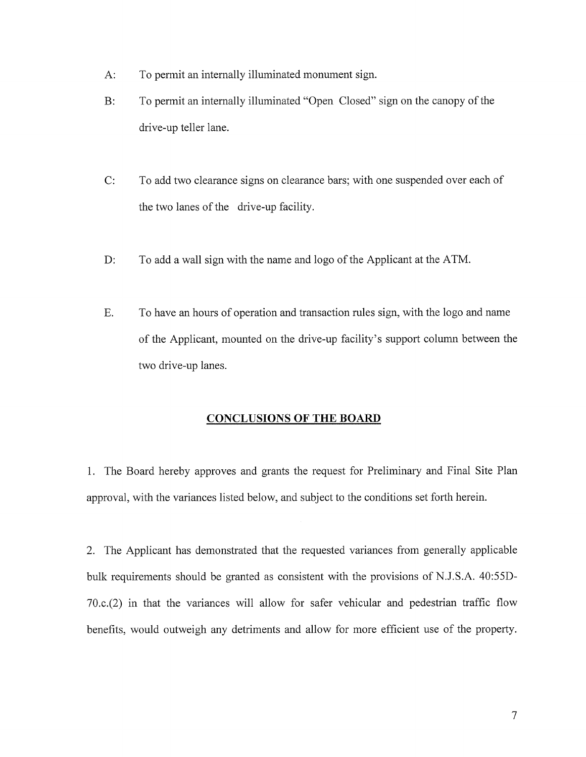- A: To permit an internally illuminated monument sign.
- B: To permit an internally illuminated "Open Closed" sign on the canopy of the drive-up teller lane.
- C: To add two clearance signs on clearance bars; with one suspended over each of the two lanes of the drive-up facility.
- D: To add a wall sign with the name and logo of the Applicant at the ATM.
- F. To have an hours of operation and transaction rules sign, with the logo and name of the Applicant, mounted on the drive-up facility's support column between the two drive-up lanes.

### CONCLUSIONS OF THE BOARD

1. The Board hereby approves and grants the request for Preliminary and Final Site Plan approval, with the variances listed below, and subject to the conditions set forth herein.

2. The Applicant has demonstrated that the requested variances from generally applicable bulk requirements should be granted as consistent with the provisions of N.J.S.A. 40:55D-70.c.(2) in that the variances will allow for safer vehicular and pedestrian traffic flow benefits, would outweigh any detriments and allow for more efficient use of the property.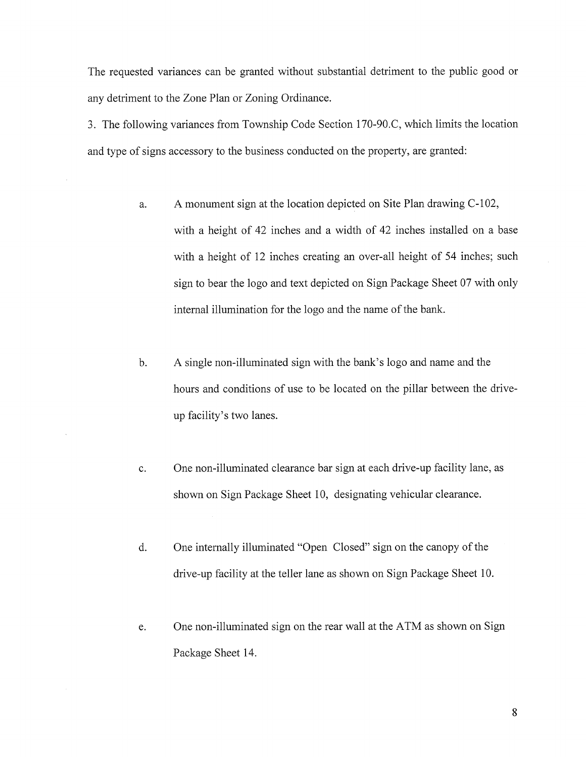The requested variances can be granted without substantial detriment to the public good or any detriment to the Zone Plan or Zoning Ordinance.

3. The following variances from Township Code Section 170-90.C, which limits the location and type of signs accessory to the business conducted on the property, are granted:

- a. A monument sign at the location depicted on Site Plan drawing C-102, with <sup>a</sup> height of 42 inches and <sup>a</sup> width of 42 inches installed on <sup>a</sup> base with a height of 12 inches creating an over-all height of 54 inches; such sign to bear the logo and text depicted on Sign Package Sheet 07 with only internal illumination for the logo and the name of the bank.
- b. A single non-illuminated sign with the bank's logo and name and the hours and conditions of use to be located on the pillar between the driveup facility's two lanes.
- c. One non-illuminated clearance bar sign at each drive-up facility lane, as shown on Sign Package Sheet 10, designating vehicular clearance.
- d. One internally illuminated "Open Closed" sign on the canopy of the drive-up facility at the teller lane as shown on Sign Package Sheet 10.
- e. One non-illuminated sign on the rear wall at the ATM as shown on Sign Package Sheet 14.

8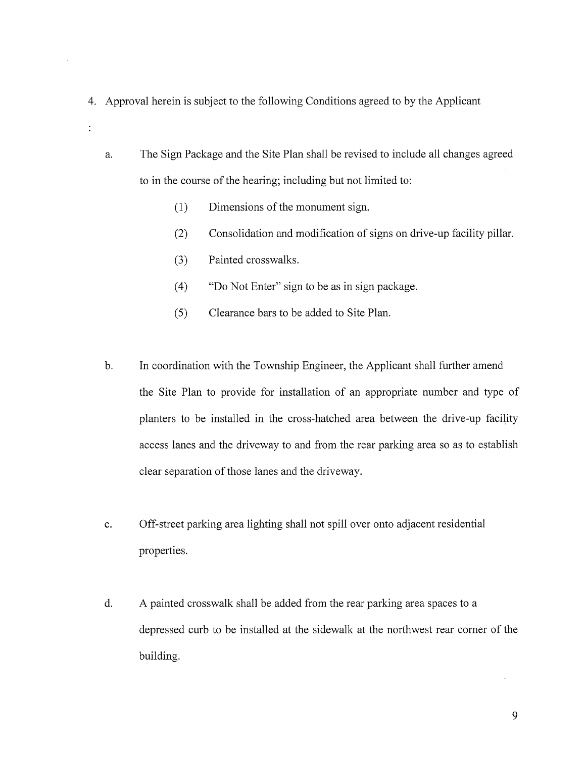- 4. Approval herein is subject to the following Conditions agreed to by the Applicant
	- a. The Sign Package and the Site Plan shall be revised to include all changes agreed to in the course of the hearing; including but not limited to:
		- (1) Dimensions of the monument sign.
		- (2) Consolidation and modification of signs on drive-up facility pillar.
		- (3) Painted crosswalks.

 $\ddot{\cdot}$ 

- (4) "Do Not Enter" sign to be as in sign package.
- (5) Clearance bars to be added to Site Plan.
- b. In coordination with the Township Engineer, the Applicant shall further amend the Site Plan to provide for installation of an appropriate number and type of planters to be installed in the cross-hatched area between the drive-up facility access lanes and the driveway to and from the rear parking area so as to establish clear separation of those lanes and the driveway.
- c. Off-street parking area lighting shall not spill over onto adjacent residential properties.
- d. A painted crosswalk shall be added from the rear parking area spaces to a depressed curb to be installed at the sidewalk at the northwest rear corner of the building.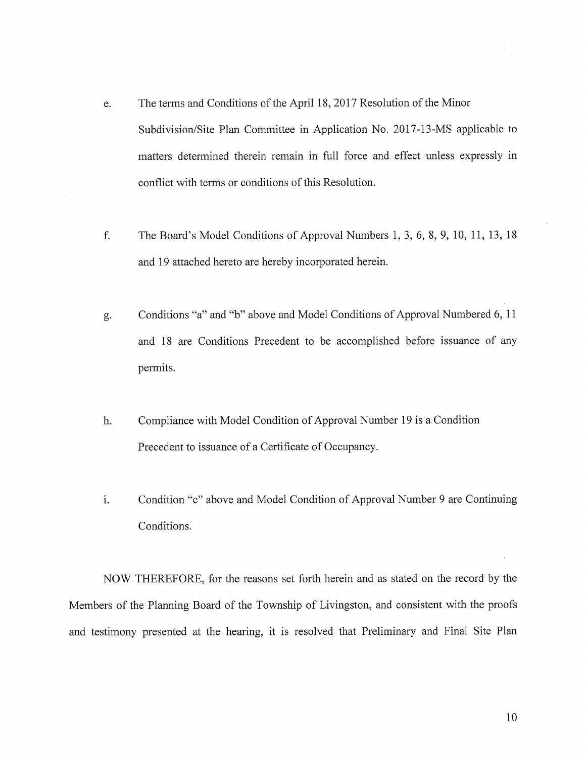- e. The terms and Conditions of the April 18, 2017 Resolution of the Minor Subdivision/Site Plan Committee in Application No. 2017-13-MS applicable to matters determined therein remain in full force and effect unless expressly in conflict with terms or conditions of this Resolution.
- f. The Board's Model Conditions of Approval Numbers 1, 3, 6, 8, 9, 10, 11, 13, <sup>18</sup> and 19 attached hereto are hereby incorporated herein.
- g. Conditions "a" and "b" above and Model Conditions of Approval Numbered 6, <sup>11</sup> and <sup>18</sup> are Conditions Precedent to be accomplished before issuance of any permits.
- h. Compliance with Model Condition of Approval Number <sup>19</sup> is <sup>a</sup> Condition Precedent to issuance of <sup>a</sup> Certificate of Occupancy.
- i. Condition "c" above and Model Condition of Approval Number <sup>9</sup> are Continuing Conditions.

NOW THEREFORE, for the reasons set forth herein and as stated on the record by the Members of the Planning Board of the Township of Livingston, and consistent with the proofs and testimony presented at the hearing, it is resolved that Preliminary and Final Site Plan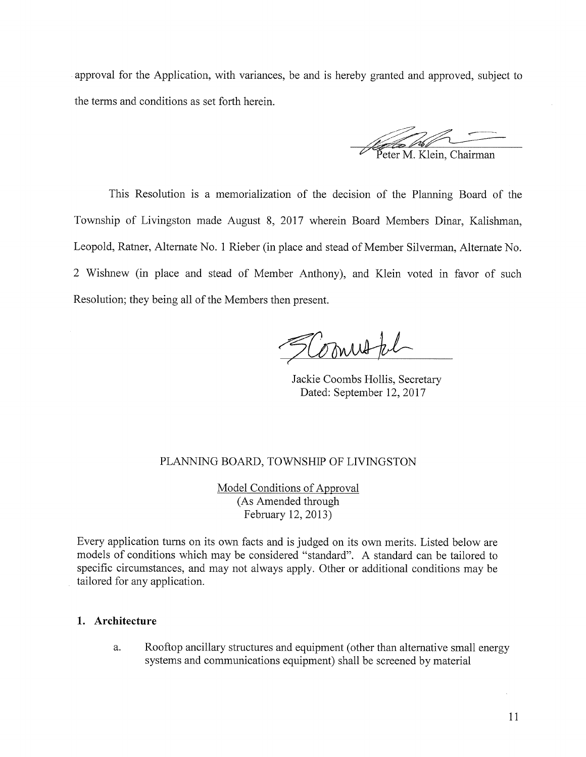approval for the Application, with variances, be and is hereby granted and approved, subject to the terms and conditions as set forth herein.

eter M. Klein, Chairman

This Resolution is <sup>a</sup> memorialization of the decision of the Planning Board of the Township of Livingston made August 8, 2017 wherein Board Members Dinar, Kalishman, Leopold, Ratner, Alternate No. <sup>1</sup> Rieber (in place and stead of Member Silverman, Alternate No. 2 Wishnew (in place and stead of Member Anthony), and Klein voted in favor of such Resolution; they being all of the Members then present.

SComutal

Jackie Coombs Hollis, Secretary Dated: September 12, 2017

## PLANNING BOARD, TOWNSHIP OF LIVINGSTON

Model Conditions of Approval (As Amended through February 12, 2013)

Every application turns on its own facts and is judged on its own merits. Listed below are models of conditions which may be considered "standard". A standard can be tailored to specific circumstances, and may not always apply. Other or additional conditions may be tailored for any application.

### 1. Architecture

a. Rooftop ancillary structures and equipment (other than alternative small energy systems and communications equipment) shall be screened by material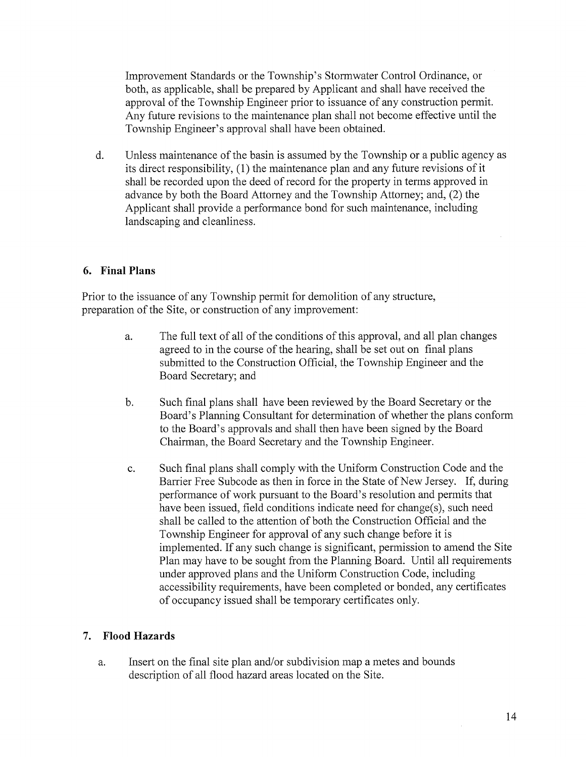Improvement Standards or the Township's Stormwater Control Ordinance, or both, as applicable, shall be prepared by Applicant and shall have received the approval of the Township Engineer prior to issuance of any construction permit. Any future revisions to the maintenance plan shall not become effective until the Township Engineer's approval shall have been obtained.

d. Unless maintenance of the basin is assumed by the Township or a public agency as its direct responsibility, (1) the maintenance plan and any future revisions of it shall be recorded upon the deed of record for the property in terms approved in advance by both the Board Attorney and the Township Attorney; and, (2) the Applicant shall provide a performance bond for such maintenance, including landscaping and cleanliness.

## 6. Final Plans

Prior to the issuance of any Township permit for demolition of any structure, preparation of the Site, or construction of any improvement:

- a. The full text of all of the conditions of this approval, and all plan changes agreed to in the course of the hearing, shall be set out on final plans submitted to the Construction Official, the Township Engineer and the Board Secretary; and
- b. Such final plans shall have been reviewed by the Board Secretary or the Board's Planning Consultant for determination of whether the plans conform to the Board's approvals and shall then have been signed by the Board Chairman, the Board Secretary and the Township Engineer.
- c. Such final plans shall comply with the Uniform Construction Code and the Barrier Free Subcode as then in force in the State of New Jersey. If, during performance of work pursuant to the Board's resolution and permits that have been issued, field conditions indicate need for change(s), such need shall be called to the attention of both the Construction Official and the Township Engineer for approval of any such change before it is implemented. If any such change is significant, permission to amend the Site Plan may have to be sought from the Planning Board. Until all requirements under approved plans and the Uniform Construction Code, including accessibility requirements, have been completed or bonded, any certificates of occupancy issued shall be temporary certificates only.

# 7. Flood Hazards

a. Insert on the final site plan and/or subdivision map a metes and bounds description of all flood hazard areas located on the Site.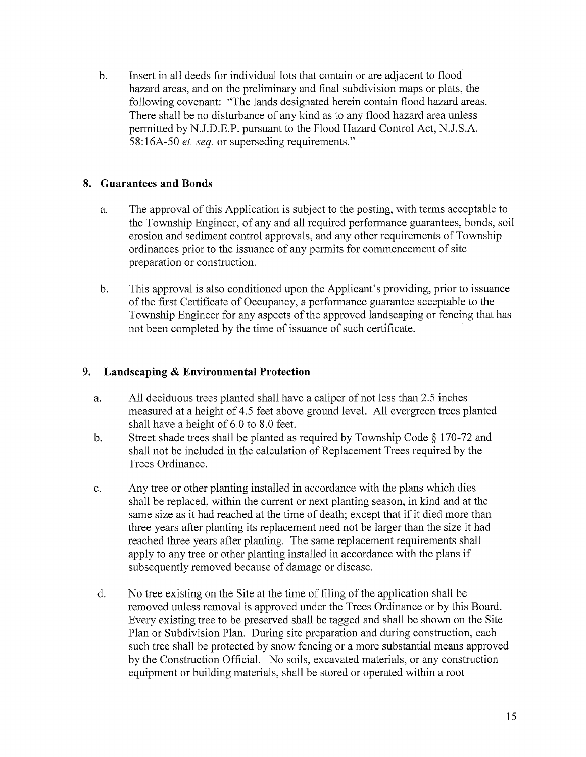b. Insert in all deeds for individual lots that contain or are adjacent to flood hazard areas, and on the preliminary and final subdivision maps or plats, the following covenant: "The lands designated herein contain flood hazard areas. There shall be no disturbance of any kind as to any flood hazard area unless permitted by N.J.D.E.P. pursuant to the Flood Hazard Control Act, N.J.S.A. 58:16A-50 et. seq. or superseding requirements."

# 8. Guarantees and Bonds

- a. The approval of this Application is subject to the posting, with terms acceptable to the Township Engineer, of any and all required performance guarantees, bonds, soil erosion and sediment control approvals, and any other requirements of Township ordinances prior to the issuance of any permits for commencement of site preparation or construction.
- b. This approval is also conditioned upon the Applicant's providing, prior to issuance of the first Certificate of Occupancy, a performance guarantee acceptable to the Township Engineer for any aspects of the approved landscaping or fencing that has not been completed by the time of issuance of such certificate.

# 9. Landscaping & Environmental Protection

- a. All deciduous trees planted shall have <sup>a</sup> caliper of not less than 2.5 inches measured at <sup>a</sup> height of 4.5 feet above ground level. All evergreen trees planted shall have <sup>a</sup> height of 6.0 to 8.0 feet.
- b. Street shade trees shall be planted as required by Township Code § 170-72 and shall not be included in the calculation of Replacement Trees required by the Trees Ordinance.
- c. Any tree or other planting installed in accordance with the plans which dies shall be replaced, within the current or next planting season, in kind and at the same size as it had reached at the time of death; except that if it died more than three years after planting its replacement need not be larger than the size it had reached three years after planting. The same replacement requirements shall apply to any tree or other planting installed in accordance with the plans if subsequently removed because of damage or disease.
- d. No tree existing on the Site at the time of filing of the application shall be removed unless removal is approved under the Trees Ordinance or by this Board. Every existing tree to be preserved shall be tagged and shall be shown on the Site Plan or Subdivision Plan. During site preparation and during construction, each such tree shall be protected by snow fencing or a more substantial means approved by the Construction Official. No soils, excavated materials, or any construction equipment or building materials, shall be stored or operated within a root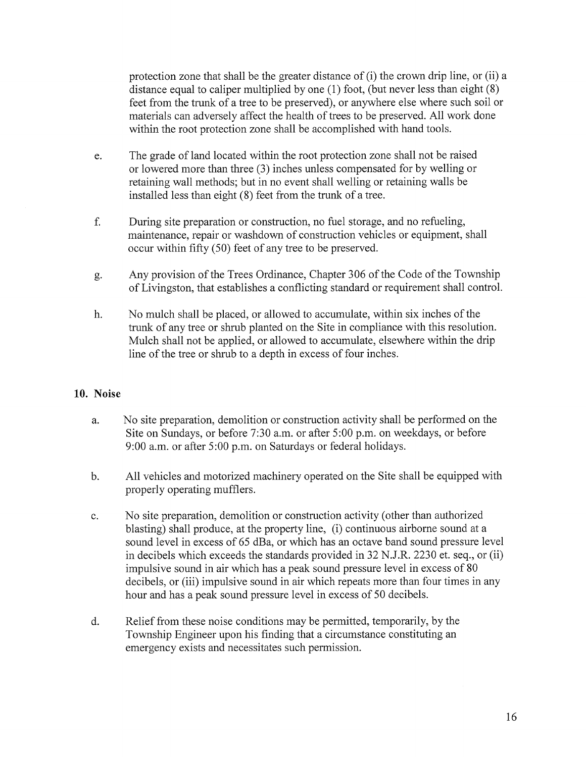protection zone that shall be the greater distance of (i) the crown drip line, or (ii) <sup>a</sup> distance equal to caliper multiplied by one (1) foot, (but never less than eight (8) feet from the trunk of <sup>a</sup> tree to be preserved), or anywhere else where such soil or materials can adversely affect the health of trees to be preserved. All work done within the root protection zone shall be accomplished with hand tools.

- e. The grade of land located within the root protection zone shall not be raised or lowered more than three (3) inches unless compensated for by welling or retaining wall methods; but in no event shall welling or retaining walls be installed less than eight (8) feet from the trunk of a tree.
- f. During site preparation or construction, no fuel storage, and no refueling, maintenance, repair or washdown of construction vehicles or equipment, shall occur within fifty (50) feet of any tree to be preserved.
- g. Any provision of the Trees Ordinance, Chapter 306 of the Code of the Township of Livingston, that establishes <sup>a</sup> conflicting standard or requirement shall control.
- h. No mulch shall be placed, or allowed to accumulate, within six inches of the trunk of any tree or shrub planted on the Site in compliance with this resolution. Mulch shall not be applied, or allowed to accumulate, elsewhere within the drip line of the tree or shrub to <sup>a</sup> depth in excess of four inches.

## 10. Noise

- a. No site preparation, demolition or construction activity shall be performed on the Site on Sundays, or before 7:30 a.m. or after 5:00 p.m. on weekdays, or before 9:00 a.m. or after 5:00 p.m. on Saturdays or federal holidays.
- b. All vehicles and motorized machinery operated on the Site shall be equipped with properly operating mufflers.
- c. No site preparation, demolition or construction activity (other than authorized blasting) shall produce, at the property line, (i) continuous airborne sound at a sound level in excess of 65 dBa, or which has an octave band sound pressure level in decibels which exceeds the standards provided in 32 N.J.R. 2230 et. seq., or (ii) impulsive sound in air which has <sup>a</sup> peak sound pressure level in excess of 80 decibels, or (iii) impulsive sound in air which repeats more than four times in any hour and has <sup>a</sup> peak sound pressure level in excess of 50 decibels.
- d. Relief from these noise conditions may be permitted, temporarily, by the Township Engineer upon his finding that a circumstance constituting an emergency exists and necessitates such permission.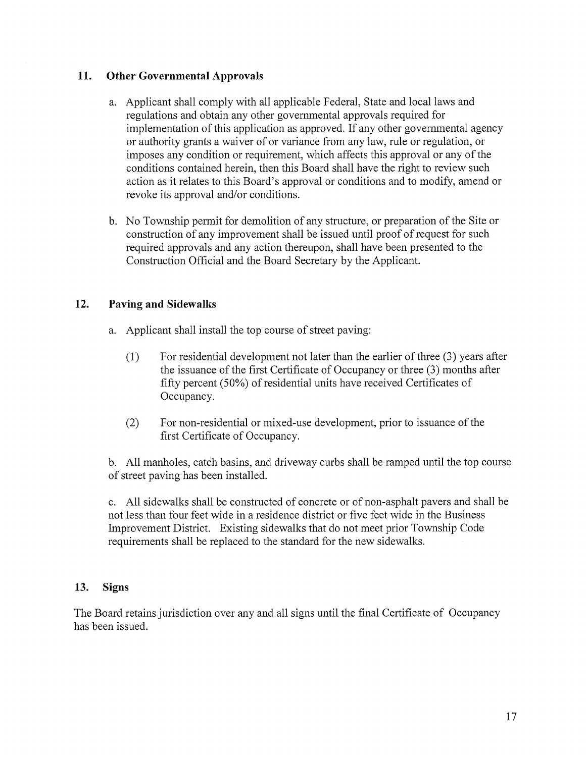# 11. Other Governmental Approvals

- a. Applicant shall comply with all applicable Federal, State and local laws and regulations and obtain any other governmental approvals required for implementation of this application as approved. If any other governmental agency or authority grants <sup>a</sup> waiver of or variance from any law, rule or regulation, or imposes any condition or requirement, which affects this approval or any of the conditions contained herein, then this Board shall have the right to review such action as it relates to this Board's approval or conditions and to modify, amend or revoke its approval and/or conditions.
- b. No Township permit for demolition of any structure, or preparation of the Site or construction of any improvement shall be issued until proof of request for such required approvals and any action thereupon, shall have been presented to the Construction Official and the Board Secretary by the Applicant.

# 12. Paving and Sidewalks

- a. Applicant shall install the top course of street paving:
	- (1) For residential development not later than the earlier of three (3) years after the issuance of the first Certificate of Occupancy or three (3) months after fifty percent (50%) of residential units have received Certificates of Occupancy.
	- (2) For non-residential or mixed-use development, prior to issuance of the first Certificate of Occupancy.

b. All manholes, catch basins, and driveway curbs shall be ramped until the top course of street paving has been installed.

c. All sidewalks shall be constructed of concrete or of non-asphalt payers and shall be not less than four feet wide in a residence district or five feet wide in the Business Improvement District. Existing sidewalks that do not meet prior Township Code requirements shall be replaced to the standard for the new sidewalks.

## 13. Signs

The Board retains jurisdiction over any and all signs until the final Certificate of Occupancy has been issued.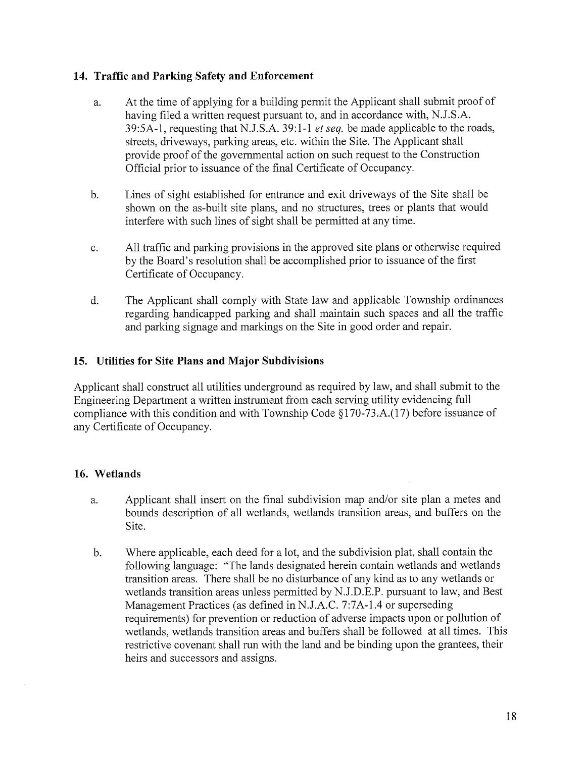## 14. Traffic and Parking Safety and Enforcement

- a. At the time of applying for <sup>a</sup> building permit the Applicant shall submit proof of having filed a written request pursuant to, and in accordance with, N.J.S.A. 39:5A-1, requesting that N.J.S.A. 39:1-1 *et seq.* be made applicable to the roads, streets, driveways, parking areas, etc. within the Site. The Applicant shall provide proof of the governmental action on such request to the Construction Official prior to issuance of the final Certificate of Occupancy.
- b. Lines of sight established for entrance and exit driveways of the Site shall be shown on the as-built site plans, and no structures, trees or plants that would interfere with such lines of sight shall be permitted at any time.
- c. All traffic and parking provisions in the approved site plans or otherwise required by the Board's resolution shall be accomplished prior to issuance of the first Certificate of Occupancy.
- d. The Applicant shall comply with State law and applicable Township ordinances regarding handicapped parking and shall maintain such spaces and all the traffic and parking signage and markings on the Site in good order and repair.

# 15. Utilities for Site Plans and Major Subdivisions

Applicant shall construct all utilities underground as required by law, and shall submit to the Engineering Department a written instrument from each serving utility evidencing full compliance with this condition and with Township Code §170-73.A.(17) before issuance of any Certificate of Occupancy.

# 16. Wetlands

- a. Applicant shall insert on the final subdivision map and/or site plan a metes and bounds description of all wetlands, wetlands transition areas, and buffers on the Site.
- b. Where applicable, each deed for a lot, and the subdivision plat, shall contain the following language: "The lands designated herein contain wetlands and wetlands transition areas. There shall be no disturbance of any kind as to any wetlands or wetlands transition areas unless permitted by N.J.D.E.P. pursuant to law, and Best Management Practices (as defined in N.J.A.C. 7:7A-1 .4 or superseding requirements) for prevention or reduction of adverse impacts upon or pollution of wetlands, wetlands transition areas and buffers shall be followed at all times. This restrictive covenant shall run with the land and be binding upon the grantees, their heirs and successors and assigns.